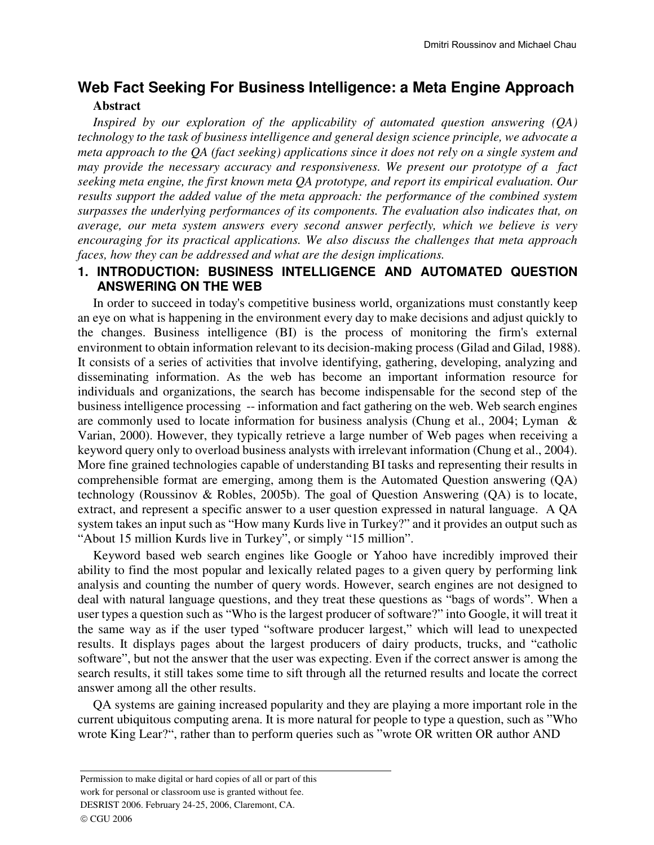# **Web Fact Seeking For Business Intelligence: a Meta Engine Approach Abstract**

*Inspired by our exploration of the applicability of automated question answering (QA) technology to the task of business intelligence and general design science principle, we advocate a meta approach to the QA (fact seeking) applications since it does not rely on a single system and may provide the necessary accuracy and responsiveness. We present our prototype of a fact seeking meta engine, the first known meta QA prototype, and report its empirical evaluation. Our results support the added value of the meta approach: the performance of the combined system surpasses the underlying performances of its components. The evaluation also indicates that, on average, our meta system answers every second answer perfectly, which we believe is very encouraging for its practical applications. We also discuss the challenges that meta approach faces, how they can be addressed and what are the design implications.* 

# **1. INTRODUCTION: BUSINESS INTELLIGENCE AND AUTOMATED QUESTION ANSWERING ON THE WEB**

In order to succeed in today's competitive business world, organizations must constantly keep an eye on what is happening in the environment every day to make decisions and adjust quickly to the changes. Business intelligence (BI) is the process of monitoring the firm's external environment to obtain information relevant to its decision-making process (Gilad and Gilad, 1988). It consists of a series of activities that involve identifying, gathering, developing, analyzing and disseminating information. As the web has become an important information resource for individuals and organizations, the search has become indispensable for the second step of the business intelligence processing -- information and fact gathering on the web. Web search engines are commonly used to locate information for business analysis (Chung et al., 2004; Lyman & Varian, 2000). However, they typically retrieve a large number of Web pages when receiving a keyword query only to overload business analysts with irrelevant information (Chung et al., 2004). More fine grained technologies capable of understanding BI tasks and representing their results in comprehensible format are emerging, among them is the Automated Question answering (QA) technology (Roussinov & Robles, 2005b). The goal of Question Answering (QA) is to locate, extract, and represent a specific answer to a user question expressed in natural language. A QA system takes an input such as "How many Kurds live in Turkey?" and it provides an output such as "About 15 million Kurds live in Turkey", or simply "15 million".

Keyword based web search engines like Google or Yahoo have incredibly improved their ability to find the most popular and lexically related pages to a given query by performing link analysis and counting the number of query words. However, search engines are not designed to deal with natural language questions, and they treat these questions as "bags of words". When a user types a question such as "Who is the largest producer of software?" into Google, it will treat it the same way as if the user typed "software producer largest," which will lead to unexpected results. It displays pages about the largest producers of dairy products, trucks, and "catholic software", but not the answer that the user was expecting. Even if the correct answer is among the search results, it still takes some time to sift through all the returned results and locate the correct answer among all the other results.

QA systems are gaining increased popularity and they are playing a more important role in the current ubiquitous computing arena. It is more natural for people to type a question, such as "Who wrote King Lear?", rather than to perform queries such as "wrote OR written OR author AND

Permission to make digital or hard copies of all or part of this

work for personal or classroom use is granted without fee.

DESRIST 2006. February 24-25, 2006, Claremont, CA.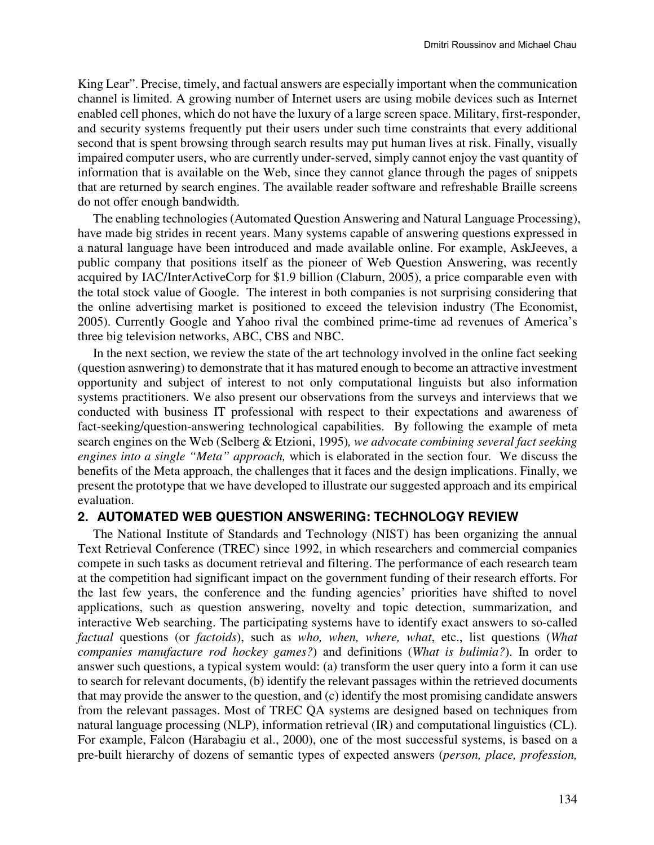King Lear". Precise, timely, and factual answers are especially important when the communication channel is limited. A growing number of Internet users are using mobile devices such as Internet enabled cell phones, which do not have the luxury of a large screen space. Military, first-responder, and security systems frequently put their users under such time constraints that every additional second that is spent browsing through search results may put human lives at risk. Finally, visually impaired computer users, who are currently under-served, simply cannot enjoy the vast quantity of information that is available on the Web, since they cannot glance through the pages of snippets that are returned by search engines. The available reader software and refreshable Braille screens do not offer enough bandwidth.

The enabling technologies (Automated Question Answering and Natural Language Processing), have made big strides in recent years. Many systems capable of answering questions expressed in a natural language have been introduced and made available online. For example, AskJeeves, a public company that positions itself as the pioneer of Web Question Answering, was recently acquired by IAC/InterActiveCorp for \$1.9 billion (Claburn, 2005), a price comparable even with the total stock value of Google. The interest in both companies is not surprising considering that the online advertising market is positioned to exceed the television industry (The Economist, 2005). Currently Google and Yahoo rival the combined prime-time ad revenues of America's three big television networks, ABC, CBS and NBC.

In the next section, we review the state of the art technology involved in the online fact seeking (question asnwering) to demonstrate that it has matured enough to become an attractive investment opportunity and subject of interest to not only computational linguists but also information systems practitioners. We also present our observations from the surveys and interviews that we conducted with business IT professional with respect to their expectations and awareness of fact-seeking/question-answering technological capabilities. By following the example of meta search engines on the Web (Selberg & Etzioni, 1995)*, we advocate combining several fact seeking engines into a single "Meta" approach,* which is elaborated in the section four*.* We discuss the benefits of the Meta approach, the challenges that it faces and the design implications. Finally, we present the prototype that we have developed to illustrate our suggested approach and its empirical evaluation.

## **2. AUTOMATED WEB QUESTION ANSWERING: TECHNOLOGY REVIEW**

The National Institute of Standards and Technology (NIST) has been organizing the annual Text Retrieval Conference (TREC) since 1992, in which researchers and commercial companies compete in such tasks as document retrieval and filtering. The performance of each research team at the competition had significant impact on the government funding of their research efforts. For the last few years, the conference and the funding agencies' priorities have shifted to novel applications, such as question answering, novelty and topic detection, summarization, and interactive Web searching. The participating systems have to identify exact answers to so-called *factual* questions (or *factoids*), such as *who, when, where, what*, etc., list questions (*What companies manufacture rod hockey games?*) and definitions (*What is bulimia?*). In order to answer such questions, a typical system would: (a) transform the user query into a form it can use to search for relevant documents, (b) identify the relevant passages within the retrieved documents that may provide the answer to the question, and (c) identify the most promising candidate answers from the relevant passages. Most of TREC QA systems are designed based on techniques from natural language processing (NLP), information retrieval (IR) and computational linguistics (CL). For example, Falcon (Harabagiu et al., 2000), one of the most successful systems, is based on a pre-built hierarchy of dozens of semantic types of expected answers (*person, place, profession,*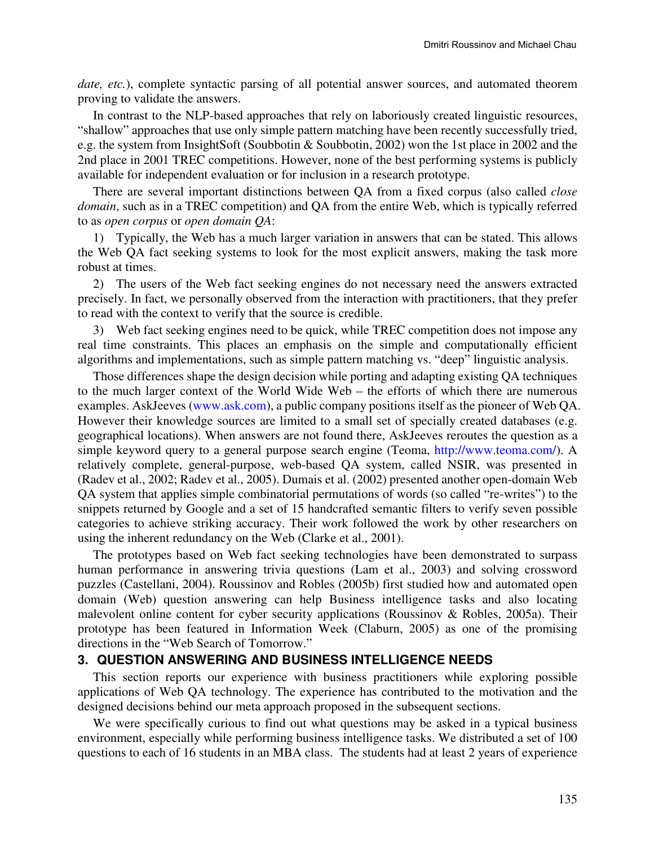*date, etc.*), complete syntactic parsing of all potential answer sources, and automated theorem proving to validate the answers.

In contrast to the NLP-based approaches that rely on laboriously created linguistic resources, "shallow" approaches that use only simple pattern matching have been recently successfully tried, e.g. the system from InsightSoft (Soubbotin & Soubbotin, 2002) won the 1st place in 2002 and the 2nd place in 2001 TREC competitions. However, none of the best performing systems is publicly available for independent evaluation or for inclusion in a research prototype.

There are several important distinctions between QA from a fixed corpus (also called *close domain*, such as in a TREC competition) and QA from the entire Web, which is typically referred to as *open corpus* or *open domain QA*:

1) Typically, the Web has a much larger variation in answers that can be stated. This allows the Web QA fact seeking systems to look for the most explicit answers, making the task more robust at times.

2) The users of the Web fact seeking engines do not necessary need the answers extracted precisely. In fact, we personally observed from the interaction with practitioners, that they prefer to read with the context to verify that the source is credible.

3) Web fact seeking engines need to be quick, while TREC competition does not impose any real time constraints. This places an emphasis on the simple and computationally efficient algorithms and implementations, such as simple pattern matching vs. "deep" linguistic analysis.

Those differences shape the design decision while porting and adapting existing QA techniques to the much larger context of the World Wide Web – the efforts of which there are numerous examples. AskJeeves (www.ask.com), a public company positions itself as the pioneer of Web QA. However their knowledge sources are limited to a small set of specially created databases (e.g. geographical locations). When answers are not found there, AskJeeves reroutes the question as a simple keyword query to a general purpose search engine (Teoma, http://www.teoma.com/). A relatively complete, general-purpose, web-based QA system, called NSIR, was presented in (Radev et al., 2002; Radev et al., 2005). Dumais et al. (2002) presented another open-domain Web QA system that applies simple combinatorial permutations of words (so called "re-writes") to the snippets returned by Google and a set of 15 handcrafted semantic filters to verify seven possible categories to achieve striking accuracy. Their work followed the work by other researchers on using the inherent redundancy on the Web (Clarke et al., 2001).

The prototypes based on Web fact seeking technologies have been demonstrated to surpass human performance in answering trivia questions (Lam et al., 2003) and solving crossword puzzles (Castellani, 2004). Roussinov and Robles (2005b) first studied how and automated open domain (Web) question answering can help Business intelligence tasks and also locating malevolent online content for cyber security applications (Roussinov & Robles, 2005a). Their prototype has been featured in Information Week (Claburn, 2005) as one of the promising directions in the "Web Search of Tomorrow."

#### **3. QUESTION ANSWERING AND BUSINESS INTELLIGENCE NEEDS**

This section reports our experience with business practitioners while exploring possible applications of Web QA technology. The experience has contributed to the motivation and the designed decisions behind our meta approach proposed in the subsequent sections.

We were specifically curious to find out what questions may be asked in a typical business environment, especially while performing business intelligence tasks. We distributed a set of 100 questions to each of 16 students in an MBA class. The students had at least 2 years of experience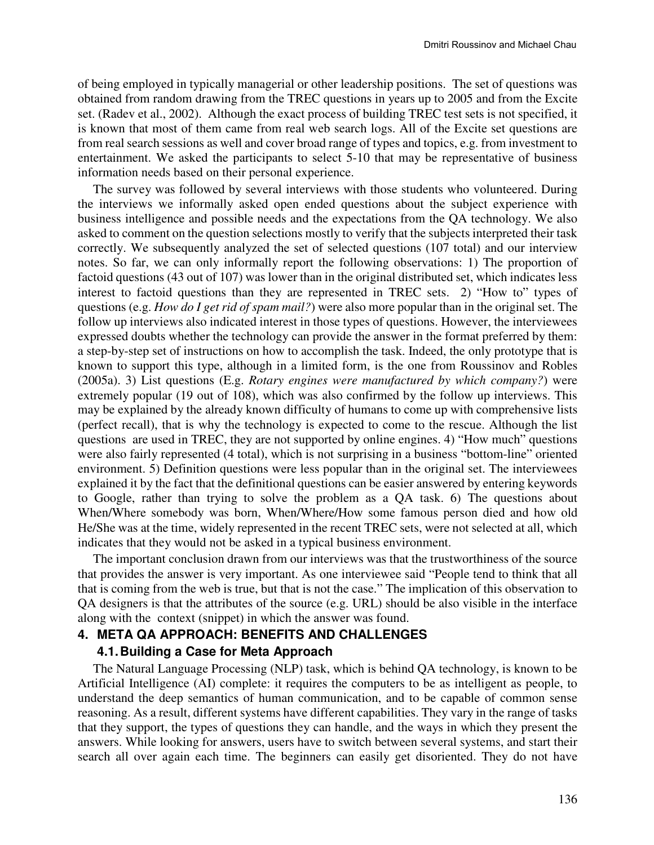of being employed in typically managerial or other leadership positions. The set of questions was obtained from random drawing from the TREC questions in years up to 2005 and from the Excite set. (Radev et al., 2002). Although the exact process of building TREC test sets is not specified, it is known that most of them came from real web search logs. All of the Excite set questions are from real search sessions as well and cover broad range of types and topics, e.g. from investment to entertainment. We asked the participants to select 5-10 that may be representative of business information needs based on their personal experience.

The survey was followed by several interviews with those students who volunteered. During the interviews we informally asked open ended questions about the subject experience with business intelligence and possible needs and the expectations from the QA technology. We also asked to comment on the question selections mostly to verify that the subjects interpreted their task correctly. We subsequently analyzed the set of selected questions (107 total) and our interview notes. So far, we can only informally report the following observations: 1) The proportion of factoid questions (43 out of 107) was lower than in the original distributed set, which indicates less interest to factoid questions than they are represented in TREC sets. 2) "How to" types of questions (e.g. *How do I get rid of spam mail?*) were also more popular than in the original set. The follow up interviews also indicated interest in those types of questions. However, the interviewees expressed doubts whether the technology can provide the answer in the format preferred by them: a step-by-step set of instructions on how to accomplish the task. Indeed, the only prototype that is known to support this type, although in a limited form, is the one from Roussinov and Robles (2005a). 3) List questions (E.g. *Rotary engines were manufactured by which company?*) were extremely popular (19 out of 108), which was also confirmed by the follow up interviews. This may be explained by the already known difficulty of humans to come up with comprehensive lists (perfect recall), that is why the technology is expected to come to the rescue. Although the list questions are used in TREC, they are not supported by online engines. 4) "How much" questions were also fairly represented (4 total), which is not surprising in a business "bottom-line" oriented environment. 5) Definition questions were less popular than in the original set. The interviewees explained it by the fact that the definitional questions can be easier answered by entering keywords to Google, rather than trying to solve the problem as a QA task. 6) The questions about When/Where somebody was born, When/Where/How some famous person died and how old He/She was at the time, widely represented in the recent TREC sets, were not selected at all, which indicates that they would not be asked in a typical business environment.

The important conclusion drawn from our interviews was that the trustworthiness of the source that provides the answer is very important. As one interviewee said "People tend to think that all that is coming from the web is true, but that is not the case." The implication of this observation to QA designers is that the attributes of the source (e.g. URL) should be also visible in the interface along with the context (snippet) in which the answer was found.

#### **4. META QA APPROACH: BENEFITS AND CHALLENGES**

#### **4.1. Building a Case for Meta Approach**

The Natural Language Processing (NLP) task, which is behind QA technology, is known to be Artificial Intelligence (AI) complete: it requires the computers to be as intelligent as people, to understand the deep semantics of human communication, and to be capable of common sense reasoning. As a result, different systems have different capabilities. They vary in the range of tasks that they support, the types of questions they can handle, and the ways in which they present the answers. While looking for answers, users have to switch between several systems, and start their search all over again each time. The beginners can easily get disoriented. They do not have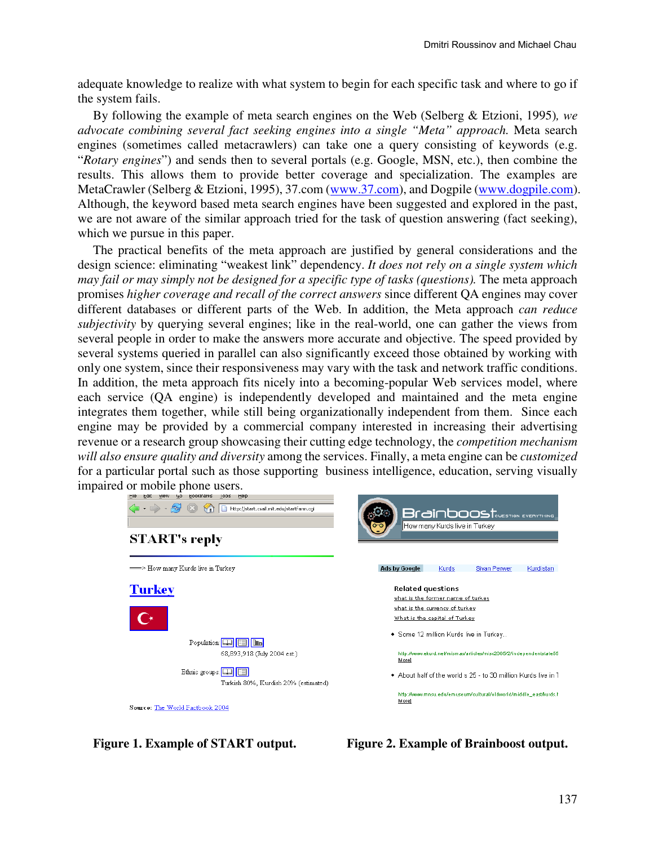adequate knowledge to realize with what system to begin for each specific task and where to go if the system fails.

By following the example of meta search engines on the Web (Selberg & Etzioni, 1995)*, we advocate combining several fact seeking engines into a single "Meta" approach.* Meta search engines (sometimes called metacrawlers) can take one a query consisting of keywords (e.g. "*Rotary engines*") and sends then to several portals (e.g. Google, MSN, etc.), then combine the results. This allows them to provide better coverage and specialization. The examples are MetaCrawler (Selberg & Etzioni, 1995), 37.com (www.37.com), and Dogpile (www.dogpile.com). Although, the keyword based meta search engines have been suggested and explored in the past, we are not aware of the similar approach tried for the task of question answering (fact seeking), which we pursue in this paper.

The practical benefits of the meta approach are justified by general considerations and the design science: eliminating "weakest link" dependency. *It does not rely on a single system which may fail or may simply not be designed for a specific type of tasks (questions).* The meta approach promises *higher coverage and recall of the correct answers* since different QA engines may cover different databases or different parts of the Web. In addition, the Meta approach *can reduce subjectivity* by querying several engines; like in the real-world, one can gather the views from several people in order to make the answers more accurate and objective. The speed provided by several systems queried in parallel can also significantly exceed those obtained by working with only one system, since their responsiveness may vary with the task and network traffic conditions. In addition, the meta approach fits nicely into a becoming-popular Web services model, where each service (QA engine) is independently developed and maintained and the meta engine integrates them together, while still being organizationally independent from them. Since each engine may be provided by a commercial company interested in increasing their advertising revenue or a research group showcasing their cutting edge technology, the *competition mechanism will also ensure quality and diversity* among the services. Finally, a meta engine can be *customized*  for a particular portal such as those supporting business intelligence, education, serving visually impaired or mobile phone users.



**Figure 1. Example of START output. Figure 2. Example of Brainboost output.**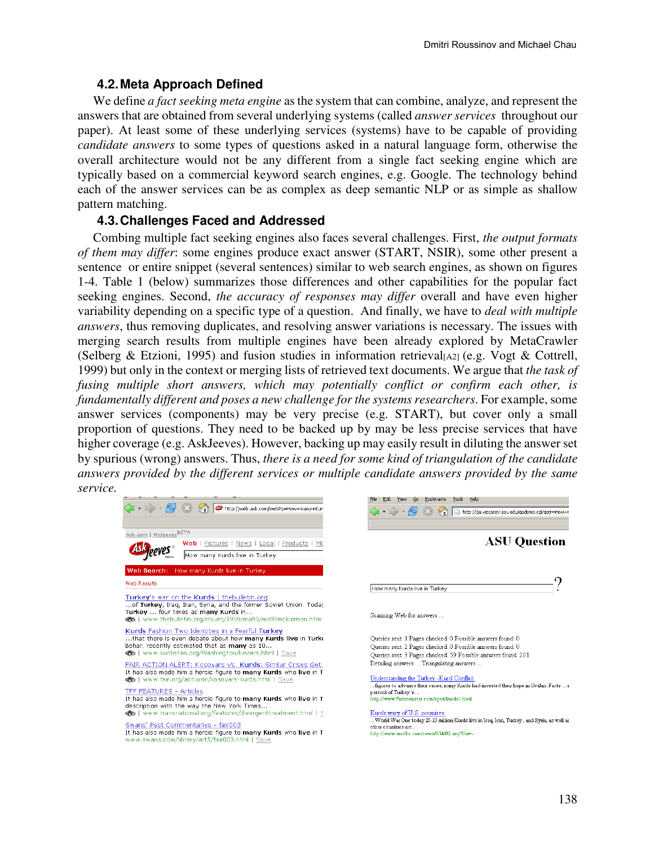# **4.2. Meta Approach Defined**

We define *a fact seeking meta engine* as the system that can combine, analyze, and represent the answers that are obtained from several underlying systems (called *answer services* throughout our paper). At least some of these underlying services (systems) have to be capable of providing *candidate answers* to some types of questions asked in a natural language form, otherwise the overall architecture would not be any different from a single fact seeking engine which are typically based on a commercial keyword search engines, e.g. Google. The technology behind each of the answer services can be as complex as deep semantic NLP or as simple as shallow pattern matching.

## **4.3. Challenges Faced and Addressed**

Combing multiple fact seeking engines also faces several challenges. First, *the output formats of them may differ*: some engines produce exact answer (START, NSIR), some other present a sentence or entire snippet (several sentences) similar to web search engines, as shown on figures 1-4. Table 1 (below) summarizes those differences and other capabilities for the popular fact seeking engines. Second, *the accuracy of responses may differ* overall and have even higher variability depending on a specific type of a question. And finally, we have to *deal with multiple answers*, thus removing duplicates, and resolving answer variations is necessary. The issues with merging search results from multiple engines have been already explored by MetaCrawler (Selberg & Etzioni, 1995) and fusion studies in information retrieval [A2] (e.g. Vogt & Cottrell, 1999) but only in the context or merging lists of retrieved text documents. We argue that *the task of fusing multiple short answers, which may potentially conflict or confirm each other, is fundamentally different and poses a new challenge for the systems researchers*. For example, some answer services (components) may be very precise (e.g. START), but cover only a small proportion of questions. They need to be backed up by may be less precise services that have higher coverage (e.g. AskJeeves). However, backing up may easily result in diluting the answer set by spurious (wrong) answers. Thus, *there is a need for some kind of triangulation of the candidate answers provided by the different services or multiple candidate answers provided by the same service.* 

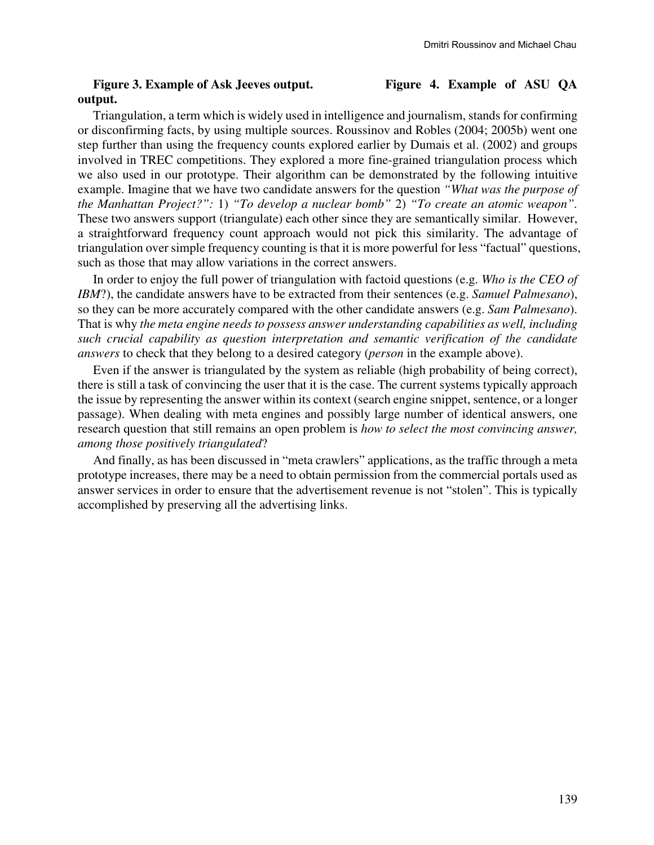### **Figure 3. Example of Ask Jeeves output. Figure 4. Example of ASU QA output.**

Triangulation, a term which is widely used in intelligence and journalism, stands for confirming or disconfirming facts, by using multiple sources. Roussinov and Robles (2004; 2005b) went one step further than using the frequency counts explored earlier by Dumais et al. (2002) and groups involved in TREC competitions. They explored a more fine-grained triangulation process which we also used in our prototype. Their algorithm can be demonstrated by the following intuitive example. Imagine that we have two candidate answers for the question *"What was the purpose of the Manhattan Project?":* 1) *"To develop a nuclear bomb"* 2) *"To create an atomic weapon".* These two answers support (triangulate) each other since they are semantically similar. However, a straightforward frequency count approach would not pick this similarity. The advantage of triangulation over simple frequency counting is that it is more powerful for less "factual" questions, such as those that may allow variations in the correct answers.

In order to enjoy the full power of triangulation with factoid questions (e.g. *Who is the CEO of IBM*?), the candidate answers have to be extracted from their sentences (e.g. *Samuel Palmesano*), so they can be more accurately compared with the other candidate answers (e.g. *Sam Palmesano*). That is why *the meta engine needs to possess answer understanding capabilities as well, including such crucial capability as question interpretation and semantic verification of the candidate answers* to check that they belong to a desired category (*person* in the example above).

Even if the answer is triangulated by the system as reliable (high probability of being correct), there is still a task of convincing the user that it is the case. The current systems typically approach the issue by representing the answer within its context (search engine snippet, sentence, or a longer passage). When dealing with meta engines and possibly large number of identical answers, one research question that still remains an open problem is *how to select the most convincing answer, among those positively triangulated*?

And finally, as has been discussed in "meta crawlers" applications, as the traffic through a meta prototype increases, there may be a need to obtain permission from the commercial portals used as answer services in order to ensure that the advertisement revenue is not "stolen". This is typically accomplished by preserving all the advertising links.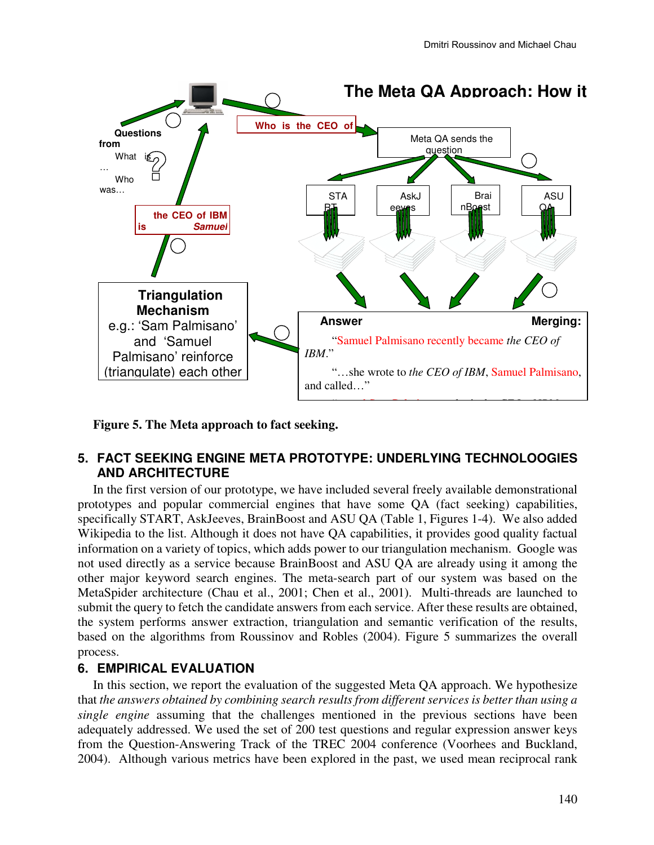

**Figure 5. The Meta approach to fact seeking.** 

# **5. FACT SEEKING ENGINE META PROTOTYPE: UNDERLYING TECHNOLOOGIES AND ARCHITECTURE**

In the first version of our prototype, we have included several freely available demonstrational prototypes and popular commercial engines that have some QA (fact seeking) capabilities, specifically START, AskJeeves, BrainBoost and ASU QA (Table 1, Figures 1-4). We also added Wikipedia to the list. Although it does not have QA capabilities, it provides good quality factual information on a variety of topics, which adds power to our triangulation mechanism. Google was not used directly as a service because BrainBoost and ASU QA are already using it among the other major keyword search engines. The meta-search part of our system was based on the MetaSpider architecture (Chau et al., 2001; Chen et al., 2001). Multi-threads are launched to submit the query to fetch the candidate answers from each service. After these results are obtained, the system performs answer extraction, triangulation and semantic verification of the results, based on the algorithms from Roussinov and Robles (2004). Figure 5 summarizes the overall process.

# **6. EMPIRICAL EVALUATION**

In this section, we report the evaluation of the suggested Meta QA approach. We hypothesize that *the answers obtained by combining search results from different services is better than using a single engine* assuming that the challenges mentioned in the previous sections have been adequately addressed. We used the set of 200 test questions and regular expression answer keys from the Question-Answering Track of the TREC 2004 conference (Voorhees and Buckland, 2004). Although various metrics have been explored in the past, we used mean reciprocal rank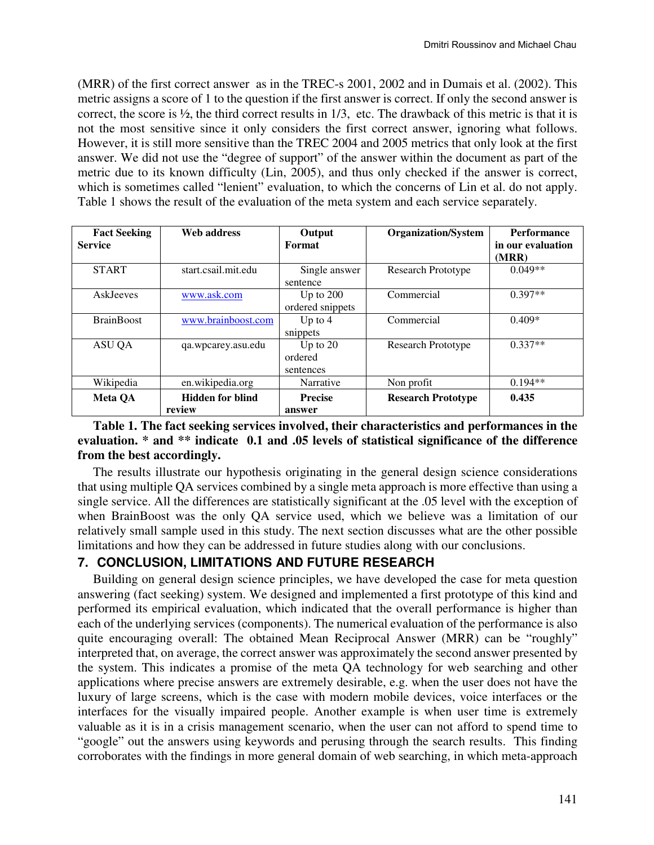(MRR) of the first correct answer as in the TREC-s 2001, 2002 and in Dumais et al. (2002). This metric assigns a score of 1 to the question if the first answer is correct. If only the second answer is correct, the score is ½, the third correct results in 1/3, etc. The drawback of this metric is that it is not the most sensitive since it only considers the first correct answer, ignoring what follows. However, it is still more sensitive than the TREC 2004 and 2005 metrics that only look at the first answer. We did not use the "degree of support" of the answer within the document as part of the metric due to its known difficulty (Lin, 2005), and thus only checked if the answer is correct, which is sometimes called "lenient" evaluation, to which the concerns of Lin et al. do not apply. Table 1 shows the result of the evaluation of the meta system and each service separately.

| <b>Fact Seeking</b><br><b>Service</b> | Web address                       | Output<br>Format                   | <b>Organization/System</b> | <b>Performance</b><br>in our evaluation<br>(MRR) |
|---------------------------------------|-----------------------------------|------------------------------------|----------------------------|--------------------------------------------------|
| <b>START</b>                          | start.csail.mit.edu               | Single answer<br>sentence          | <b>Research Prototype</b>  | $0.049**$                                        |
| <b>AskJeeves</b>                      | www.ask.com                       | Up to $200$<br>ordered snippets    | Commercial                 | $0.397**$                                        |
| <b>BrainBoost</b>                     | www.brainboost.com                | Up to $4$<br>snippets              | Commercial                 | $0.409*$                                         |
| ASU QA                                | qa.wpcarey.asu.edu                | Up to $20$<br>ordered<br>sentences | Research Prototype         | $0.337**$                                        |
| Wikipedia                             | en.wikipedia.org                  | Narrative                          | Non profit                 | $0.194**$                                        |
| <b>Meta QA</b>                        | <b>Hidden for blind</b><br>review | <b>Precise</b><br>answer           | <b>Research Prototype</b>  | 0.435                                            |

## **Table 1. The fact seeking services involved, their characteristics and performances in the evaluation. \* and \*\* indicate 0.1 and .05 levels of statistical significance of the difference from the best accordingly.**

The results illustrate our hypothesis originating in the general design science considerations that using multiple QA services combined by a single meta approach is more effective than using a single service. All the differences are statistically significant at the .05 level with the exception of when BrainBoost was the only QA service used, which we believe was a limitation of our relatively small sample used in this study. The next section discusses what are the other possible limitations and how they can be addressed in future studies along with our conclusions.

# **7. CONCLUSION, LIMITATIONS AND FUTURE RESEARCH**

Building on general design science principles, we have developed the case for meta question answering (fact seeking) system. We designed and implemented a first prototype of this kind and performed its empirical evaluation, which indicated that the overall performance is higher than each of the underlying services (components). The numerical evaluation of the performance is also quite encouraging overall: The obtained Mean Reciprocal Answer (MRR) can be "roughly" interpreted that, on average, the correct answer was approximately the second answer presented by the system. This indicates a promise of the meta QA technology for web searching and other applications where precise answers are extremely desirable, e.g. when the user does not have the luxury of large screens, which is the case with modern mobile devices, voice interfaces or the interfaces for the visually impaired people. Another example is when user time is extremely valuable as it is in a crisis management scenario, when the user can not afford to spend time to "google" out the answers using keywords and perusing through the search results. This finding corroborates with the findings in more general domain of web searching, in which meta-approach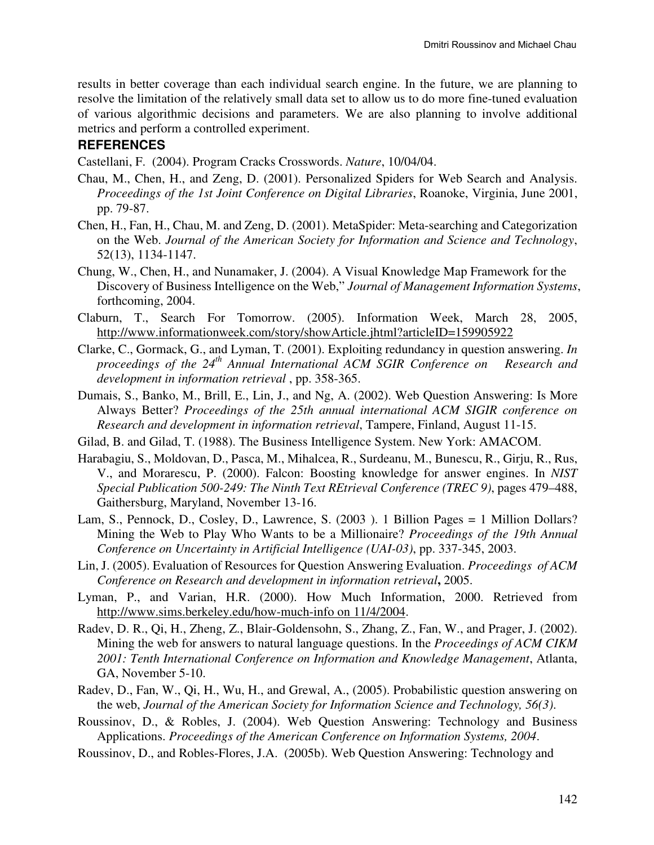results in better coverage than each individual search engine. In the future, we are planning to resolve the limitation of the relatively small data set to allow us to do more fine-tuned evaluation of various algorithmic decisions and parameters. We are also planning to involve additional metrics and perform a controlled experiment.

## **REFERENCES**

Castellani, F. (2004). Program Cracks Crosswords. *Nature*, 10/04/04.

- Chau, M., Chen, H., and Zeng, D. (2001). Personalized Spiders for Web Search and Analysis. *Proceedings of the 1st Joint Conference on Digital Libraries*, Roanoke, Virginia, June 2001, pp. 79-87.
- Chen, H., Fan, H., Chau, M. and Zeng, D. (2001). MetaSpider: Meta-searching and Categorization on the Web. *Journal of the American Society for Information and Science and Technology*, 52(13), 1134-1147.
- Chung, W., Chen, H., and Nunamaker, J. (2004). A Visual Knowledge Map Framework for the Discovery of Business Intelligence on the Web," *Journal of Management Information Systems*, forthcoming, 2004.
- Claburn, T., Search For Tomorrow. (2005). Information Week, March 28, 2005, http://www.informationweek.com/story/showArticle.jhtml?articleID=159905922
- Clarke, C., Gormack, G., and Lyman, T. (2001). Exploiting redundancy in question answering. *In proceedings of the 24th Annual International ACM SGIR Conference on Research and development in information retrieval* , pp. 358-365.
- Dumais, S., Banko, M., Brill, E., Lin, J., and Ng, A. (2002). Web Question Answering: Is More Always Better? *Proceedings of the 25th annual international ACM SIGIR conference on Research and development in information retrieval*, Tampere, Finland, August 11-15.
- Gilad, B. and Gilad, T. (1988). The Business Intelligence System. New York: AMACOM.
- Harabagiu, S., Moldovan, D., Pasca, M., Mihalcea, R., Surdeanu, M., Bunescu, R., Girju, R., Rus, V., and Morarescu, P. (2000). Falcon: Boosting knowledge for answer engines. In *NIST Special Publication 500-249: The Ninth Text REtrieval Conference (TREC 9)*, pages 479–488, Gaithersburg, Maryland, November 13-16.
- Lam, S., Pennock, D., Cosley, D., Lawrence, S. (2003 ). 1 Billion Pages = 1 Million Dollars? Mining the Web to Play Who Wants to be a Millionaire? *Proceedings of the 19th Annual Conference on Uncertainty in Artificial Intelligence (UAI-03)*, pp. 337-345, 2003.
- Lin, J. (2005). Evaluation of Resources for Question Answering Evaluation. *Proceedings of ACM Conference on Research and development in information retrieval***,** 2005.
- Lyman, P., and Varian, H.R. (2000). How Much Information, 2000. Retrieved from http://www.sims.berkeley.edu/how-much-info on 11/4/2004.
- Radev, D. R., Qi, H., Zheng, Z., Blair-Goldensohn, S., Zhang, Z., Fan, W., and Prager, J. (2002). Mining the web for answers to natural language questions. In the *Proceedings of ACM CIKM 2001: Tenth International Conference on Information and Knowledge Management*, Atlanta, GA, November 5-10.
- Radev, D., Fan, W., Qi, H., Wu, H., and Grewal, A., (2005). Probabilistic question answering on the web, *Journal of the American Society for Information Science and Technology, 56(3)*.
- Roussinov, D., & Robles, J. (2004). Web Question Answering: Technology and Business Applications. *Proceedings of the American Conference on Information Systems, 2004*.
- Roussinov, D., and Robles-Flores, J.A. (2005b). Web Question Answering: Technology and